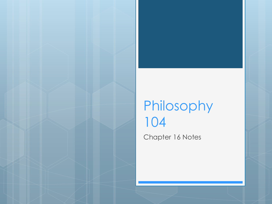#### Philosophy 104 Chapter 16 Notes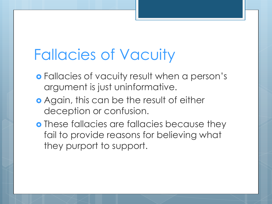# Fallacies of Vacuity

- Fallacies of vacuity result when a person's argument is just uninformative.
- Again, this can be the result of either deception or confusion.
- **o** These fallacies are fallacies because they fail to provide reasons for believing what they purport to support.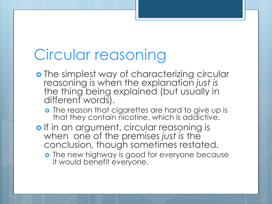# Circular reasoning

- o The simplest way of characterizing circular reasoning is when the explanation *just is* the thing being explained (but usually in different words).
	- **o** The reason that cigarettes are hard to give up is that they contain nicotine, which is addictive.
- o If in an argument, circular reasoning is when one of the premises *just is* the conclusion, though sometimes restated.
	- o The new highway is good for everyone because it would benefit everyone.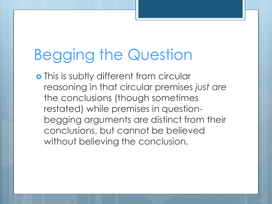# Begging the Question

o This is subtly different from circular reasoning in that circular premises *just are* the conclusions (though sometimes restated) while premises in questionbegging arguments are distinct from their conclusions, but cannot be believed without believing the conclusion.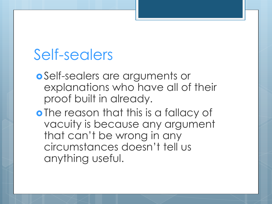#### Self-sealers

- Self-sealers are arguments or explanations who have all of their proof built in already.
- o The reason that this is a fallacy of vacuity is because any argument that can't be wrong in any circumstances doesn't tell us anything useful.